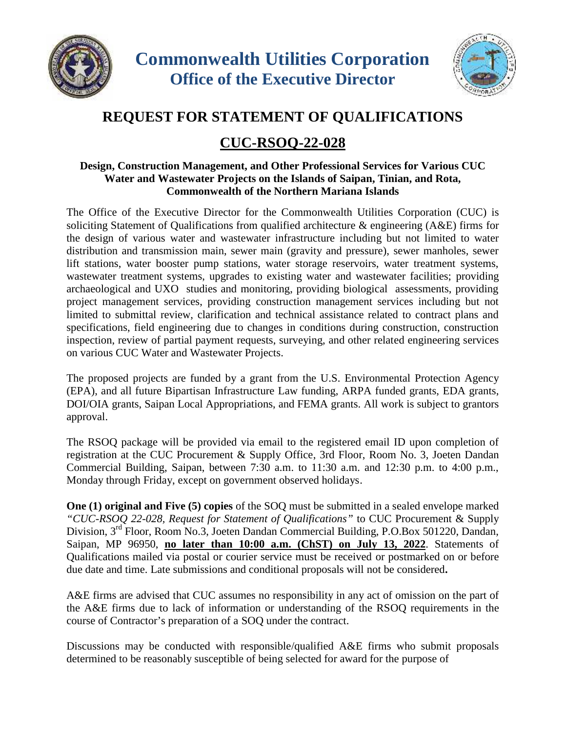



## **REQUEST FOR STATEMENT OF QUALIFICATIONS**

## **CUC-RSOQ-22-028**

## **Design, Construction Management, and Other Professional Services for Various CUC Water and Wastewater Projects on the Islands of Saipan, Tinian, and Rota, Commonwealth of the Northern Mariana Islands**

The Office of the Executive Director for the Commonwealth Utilities Corporation (CUC) is soliciting Statement of Qualifications from qualified architecture & engineering (A&E) firms for the design of various water and wastewater infrastructure including but not limited to water distribution and transmission main, sewer main (gravity and pressure), sewer manholes, sewer lift stations, water booster pump stations, water storage reservoirs, water treatment systems, wastewater treatment systems, upgrades to existing water and wastewater facilities; providing archaeological and UXO studies and monitoring, providing biological assessments, providing project management services, providing construction management services including but not limited to submittal review, clarification and technical assistance related to contract plans and specifications, field engineering due to changes in conditions during construction, construction inspection, review of partial payment requests, surveying, and other related engineering services on various CUC Water and Wastewater Projects.

The proposed projects are funded by a grant from the U.S. Environmental Protection Agency (EPA), and all future Bipartisan Infrastructure Law funding, ARPA funded grants, EDA grants, DOI/OIA grants, Saipan Local Appropriations, and FEMA grants. All work is subject to grantors approval.

The RSOQ package will be provided via email to the registered email ID upon completion of registration at the CUC Procurement & Supply Office, 3rd Floor, Room No. 3, Joeten Dandan Commercial Building, Saipan, between 7:30 a.m. to 11:30 a.m. and 12:30 p.m. to 4:00 p.m., Monday through Friday, except on government observed holidays.

**One (1) original and Five (5) copies** of the SOQ must be submitted in a sealed envelope marked *"CUC-RSOQ 22-028, Request for Statement of Qualifications"* to CUC Procurement & Supply Division, 3rd Floor, Room No.3, Joeten Dandan Commercial Building, P.O.Box 501220, Dandan, Saipan, MP 96950, **no later than 10:00 a.m. (ChST) on July 13,2022**. Statements of Qualifications mailed via postal or courier service must be received or postmarked on or before due date and time. Late submissions and conditional proposals will not be considered**.**

A&E firms are advised that CUC assumes no responsibility in any act of omission on the part of the A&E firms due to lack of information or understanding of the RSOQ requirements in the course of Contractor's preparation of a SOQ under the contract.

Discussions may be conducted with responsible/qualified A&E firms who submit proposals determined to be reasonably susceptible of being selected for award for the purpose of